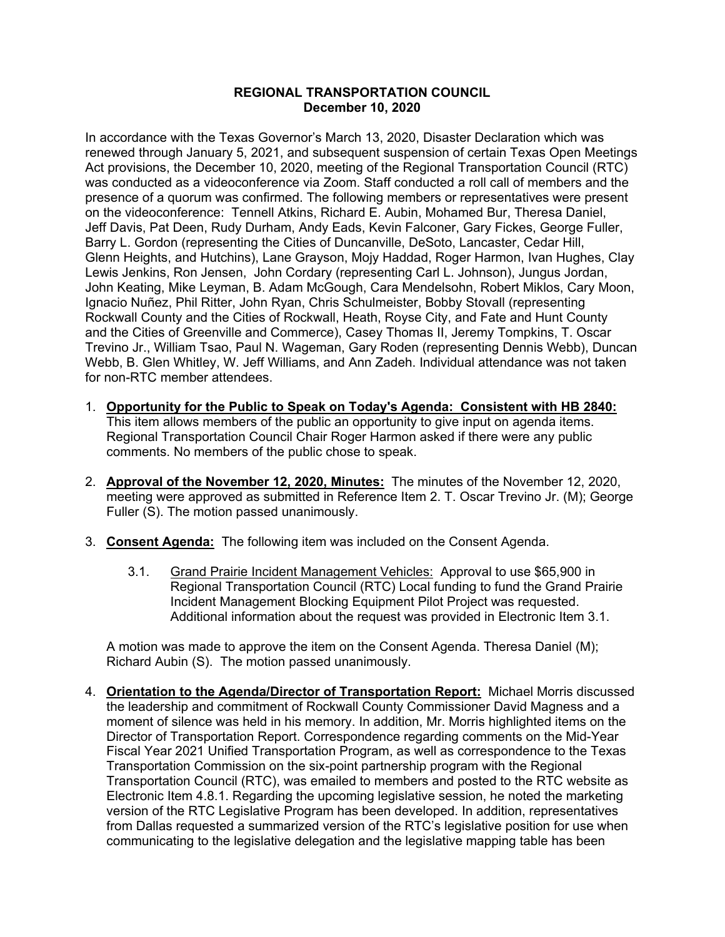## **REGIONAL TRANSPORTATION COUNCIL December 10, 2020**

In accordance with the Texas Governor's March 13, 2020, Disaster Declaration which was renewed through January 5, 2021, and subsequent suspension of certain Texas Open Meetings Act provisions, the December 10, 2020, meeting of the Regional Transportation Council (RTC) was conducted as a videoconference via Zoom. Staff conducted a roll call of members and the presence of a quorum was confirmed. The following members or representatives were present on the videoconference: Tennell Atkins, Richard E. Aubin, Mohamed Bur, Theresa Daniel, Jeff Davis, Pat Deen, Rudy Durham, Andy Eads, Kevin Falconer, Gary Fickes, George Fuller, Barry L. Gordon (representing the Cities of Duncanville, DeSoto, Lancaster, Cedar Hill, Glenn Heights, and Hutchins), Lane Grayson, Mojy Haddad, Roger Harmon, Ivan Hughes, Clay Lewis Jenkins, Ron Jensen, John Cordary (representing Carl L. Johnson), Jungus Jordan, John Keating, Mike Leyman, B. Adam McGough, Cara Mendelsohn, Robert Miklos, Cary Moon, Ignacio Nuñez, Phil Ritter, John Ryan, Chris Schulmeister, Bobby Stovall (representing Rockwall County and the Cities of Rockwall, Heath, Royse City, and Fate and Hunt County and the Cities of Greenville and Commerce), Casey Thomas II, Jeremy Tompkins, T. Oscar Trevino Jr., William Tsao, Paul N. Wageman, Gary Roden (representing Dennis Webb), Duncan Webb, B. Glen Whitley, W. Jeff Williams, and Ann Zadeh. Individual attendance was not taken for non-RTC member attendees.

- 1. **Opportunity for the Public to Speak on Today's Agenda: Consistent with HB 2840:** This item allows members of the public an opportunity to give input on agenda items. Regional Transportation Council Chair Roger Harmon asked if there were any public comments. No members of the public chose to speak.
- 2. **Approval of the November 12, 2020, Minutes:** The minutes of the November 12, 2020, meeting were approved as submitted in Reference Item 2. T. Oscar Trevino Jr. (M); George Fuller (S). The motion passed unanimously.
- 3. **Consent Agenda:** The following item was included on the Consent Agenda.
	- 3.1. Grand Prairie Incident Management Vehicles: Approval to use \$65,900 in Regional Transportation Council (RTC) Local funding to fund the Grand Prairie Incident Management Blocking Equipment Pilot Project was requested. Additional information about the request was provided in Electronic Item 3.1.

A motion was made to approve the item on the Consent Agenda. Theresa Daniel (M); Richard Aubin (S). The motion passed unanimously.

4. **Orientation to the Agenda/Director of Transportation Report:** Michael Morris discussed the leadership and commitment of Rockwall County Commissioner David Magness and a moment of silence was held in his memory. In addition, Mr. Morris highlighted items on the Director of Transportation Report. Correspondence regarding comments on the Mid-Year Fiscal Year 2021 Unified Transportation Program, as well as correspondence to the Texas Transportation Commission on the six-point partnership program with the Regional Transportation Council (RTC), was emailed to members and posted to the RTC website as Electronic Item 4.8.1. Regarding the upcoming legislative session, he noted the marketing version of the RTC Legislative Program has been developed. In addition, representatives from Dallas requested a summarized version of the RTC's legislative position for use when communicating to the legislative delegation and the legislative mapping table has been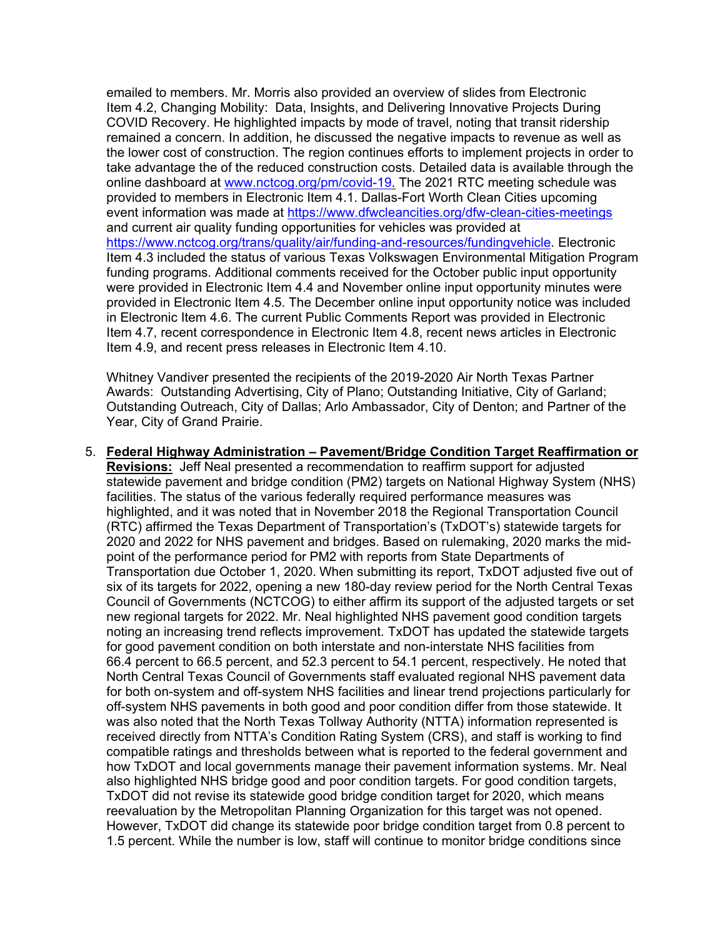emailed to members. Mr. Morris also provided an overview of slides from Electronic Item 4.2, Changing Mobility: Data, Insights, and Delivering Innovative Projects During COVID Recovery. He highlighted impacts by mode of travel, noting that transit ridership remained a concern. In addition, he discussed the negative impacts to revenue as well as the lower cost of construction. The region continues efforts to implement projects in order to take advantage the of the reduced construction costs. Detailed data is available through the online dashboard at [www.nctcog.org/pm/covid-19.](http://www.nctcog.org/pm/covid-19) The 2021 RTC meeting schedule was provided to members in Electronic Item 4.1. Dallas-Fort Worth Clean Cities upcoming event information was made at<https://www.dfwcleancities.org/dfw-clean-cities-meetings> and current air quality funding opportunities for vehicles was provided at [https://www.nctcog.org/trans/quality/air/funding-and-resources/fundingvehicle.](https://www.nctcog.org/trans/quality/air/funding-and-resources/fundingvehicle) Electronic Item 4.3 included the status of various Texas Volkswagen Environmental Mitigation Program funding programs. Additional comments received for the October public input opportunity were provided in Electronic Item 4.4 and November online input opportunity minutes were provided in Electronic Item 4.5. The December online input opportunity notice was included in Electronic Item 4.6. The current Public Comments Report was provided in Electronic Item 4.7, recent correspondence in Electronic Item 4.8, recent news articles in Electronic Item 4.9, and recent press releases in Electronic Item 4.10.

Whitney Vandiver presented the recipients of the 2019-2020 Air North Texas Partner Awards: Outstanding Advertising, City of Plano; Outstanding Initiative, City of Garland; Outstanding Outreach, City of Dallas; Arlo Ambassador, City of Denton; and Partner of the Year, City of Grand Prairie.

5. **Federal Highway Administration – Pavement/Bridge Condition Target Reaffirmation or Revisions:** Jeff Neal presented a recommendation to reaffirm support for adjusted statewide pavement and bridge condition (PM2) targets on National Highway System (NHS) facilities. The status of the various federally required performance measures was highlighted, and it was noted that in November 2018 the Regional Transportation Council (RTC) affirmed the Texas Department of Transportation's (TxDOT's) statewide targets for 2020 and 2022 for NHS pavement and bridges. Based on rulemaking, 2020 marks the midpoint of the performance period for PM2 with reports from State Departments of Transportation due October 1, 2020. When submitting its report, TxDOT adjusted five out of six of its targets for 2022, opening a new 180-day review period for the North Central Texas Council of Governments (NCTCOG) to either affirm its support of the adjusted targets or set new regional targets for 2022. Mr. Neal highlighted NHS pavement good condition targets noting an increasing trend reflects improvement. TxDOT has updated the statewide targets for good pavement condition on both interstate and non-interstate NHS facilities from 66.4 percent to 66.5 percent, and 52.3 percent to 54.1 percent, respectively. He noted that North Central Texas Council of Governments staff evaluated regional NHS pavement data for both on-system and off-system NHS facilities and linear trend projections particularly for off-system NHS pavements in both good and poor condition differ from those statewide. It was also noted that the North Texas Tollway Authority (NTTA) information represented is received directly from NTTA's Condition Rating System (CRS), and staff is working to find compatible ratings and thresholds between what is reported to the federal government and how TxDOT and local governments manage their pavement information systems. Mr. Neal also highlighted NHS bridge good and poor condition targets. For good condition targets, TxDOT did not revise its statewide good bridge condition target for 2020, which means reevaluation by the Metropolitan Planning Organization for this target was not opened. However, TxDOT did change its statewide poor bridge condition target from 0.8 percent to 1.5 percent. While the number is low, staff will continue to monitor bridge conditions since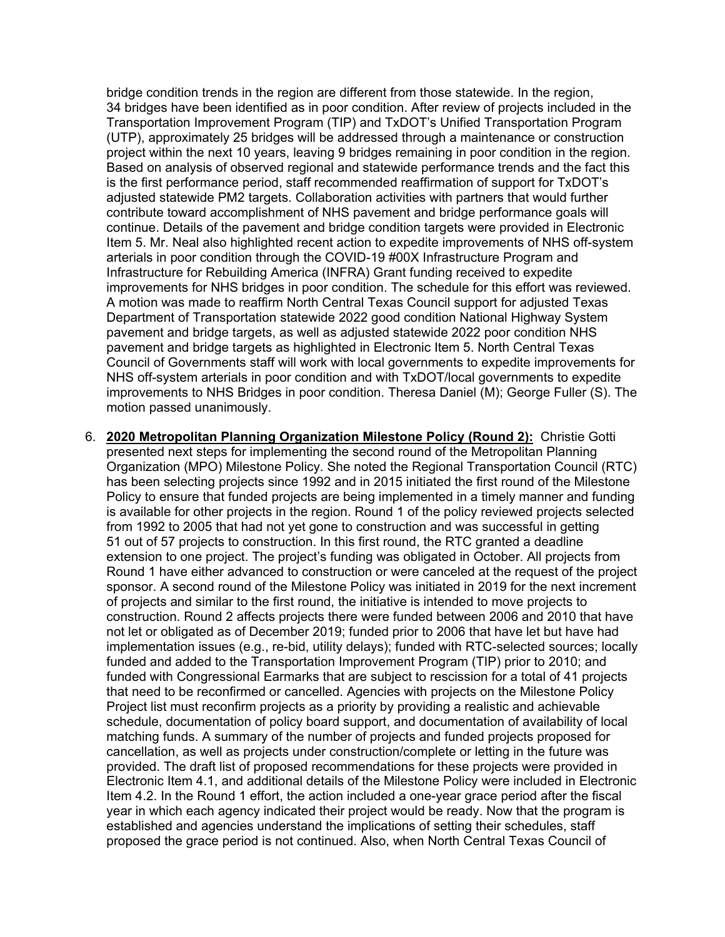bridge condition trends in the region are different from those statewide. In the region, 34 bridges have been identified as in poor condition. After review of projects included in the Transportation Improvement Program (TIP) and TxDOT's Unified Transportation Program (UTP), approximately 25 bridges will be addressed through a maintenance or construction project within the next 10 years, leaving 9 bridges remaining in poor condition in the region. Based on analysis of observed regional and statewide performance trends and the fact this is the first performance period, staff recommended reaffirmation of support for TxDOT's adjusted statewide PM2 targets. Collaboration activities with partners that would further contribute toward accomplishment of NHS pavement and bridge performance goals will continue. Details of the pavement and bridge condition targets were provided in Electronic Item 5. Mr. Neal also highlighted recent action to expedite improvements of NHS off-system arterials in poor condition through the COVID-19 #00X Infrastructure Program and Infrastructure for Rebuilding America (INFRA) Grant funding received to expedite improvements for NHS bridges in poor condition. The schedule for this effort was reviewed. A motion was made to reaffirm North Central Texas Council support for adjusted Texas Department of Transportation statewide 2022 good condition National Highway System pavement and bridge targets, as well as adjusted statewide 2022 poor condition NHS pavement and bridge targets as highlighted in Electronic Item 5. North Central Texas Council of Governments staff will work with local governments to expedite improvements for NHS off-system arterials in poor condition and with TxDOT/local governments to expedite improvements to NHS Bridges in poor condition. Theresa Daniel (M); George Fuller (S). The motion passed unanimously.

6. **2020 Metropolitan Planning Organization Milestone Policy (Round 2):** Christie Gotti presented next steps for implementing the second round of the Metropolitan Planning Organization (MPO) Milestone Policy. She noted the Regional Transportation Council (RTC) has been selecting projects since 1992 and in 2015 initiated the first round of the Milestone Policy to ensure that funded projects are being implemented in a timely manner and funding is available for other projects in the region. Round 1 of the policy reviewed projects selected from 1992 to 2005 that had not yet gone to construction and was successful in getting 51 out of 57 projects to construction. In this first round, the RTC granted a deadline extension to one project. The project's funding was obligated in October. All projects from Round 1 have either advanced to construction or were canceled at the request of the project sponsor. A second round of the Milestone Policy was initiated in 2019 for the next increment of projects and similar to the first round, the initiative is intended to move projects to construction. Round 2 affects projects there were funded between 2006 and 2010 that have not let or obligated as of December 2019; funded prior to 2006 that have let but have had implementation issues (e.g., re-bid, utility delays); funded with RTC-selected sources; locally funded and added to the Transportation Improvement Program (TIP) prior to 2010; and funded with Congressional Earmarks that are subject to rescission for a total of 41 projects that need to be reconfirmed or cancelled. Agencies with projects on the Milestone Policy Project list must reconfirm projects as a priority by providing a realistic and achievable schedule, documentation of policy board support, and documentation of availability of local matching funds. A summary of the number of projects and funded projects proposed for cancellation, as well as projects under construction/complete or letting in the future was provided. The draft list of proposed recommendations for these projects were provided in Electronic Item 4.1, and additional details of the Milestone Policy were included in Electronic Item 4.2. In the Round 1 effort, the action included a one-year grace period after the fiscal year in which each agency indicated their project would be ready. Now that the program is established and agencies understand the implications of setting their schedules, staff proposed the grace period is not continued. Also, when North Central Texas Council of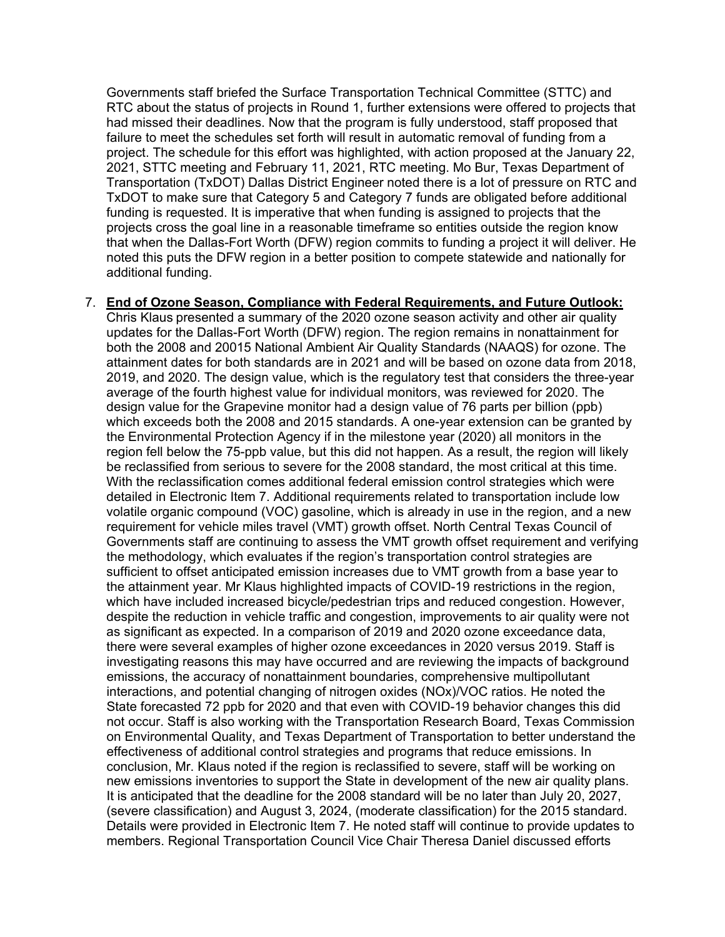Governments staff briefed the Surface Transportation Technical Committee (STTC) and RTC about the status of projects in Round 1, further extensions were offered to projects that had missed their deadlines. Now that the program is fully understood, staff proposed that failure to meet the schedules set forth will result in automatic removal of funding from a project. The schedule for this effort was highlighted, with action proposed at the January 22, 2021, STTC meeting and February 11, 2021, RTC meeting. Mo Bur, Texas Department of Transportation (TxDOT) Dallas District Engineer noted there is a lot of pressure on RTC and TxDOT to make sure that Category 5 and Category 7 funds are obligated before additional funding is requested. It is imperative that when funding is assigned to projects that the projects cross the goal line in a reasonable timeframe so entities outside the region know that when the Dallas-Fort Worth (DFW) region commits to funding a project it will deliver. He noted this puts the DFW region in a better position to compete statewide and nationally for additional funding.

## 7. **End of Ozone Season, Compliance with Federal Requirements, and Future Outlook:**

Chris Klaus presented a summary of the 2020 ozone season activity and other air quality updates for the Dallas-Fort Worth (DFW) region. The region remains in nonattainment for both the 2008 and 20015 National Ambient Air Quality Standards (NAAQS) for ozone. The attainment dates for both standards are in 2021 and will be based on ozone data from 2018, 2019, and 2020. The design value, which is the regulatory test that considers the three-year average of the fourth highest value for individual monitors, was reviewed for 2020. The design value for the Grapevine monitor had a design value of 76 parts per billion (ppb) which exceeds both the 2008 and 2015 standards. A one-year extension can be granted by the Environmental Protection Agency if in the milestone year (2020) all monitors in the region fell below the 75-ppb value, but this did not happen. As a result, the region will likely be reclassified from serious to severe for the 2008 standard, the most critical at this time. With the reclassification comes additional federal emission control strategies which were detailed in Electronic Item 7. Additional requirements related to transportation include low volatile organic compound (VOC) gasoline, which is already in use in the region, and a new requirement for vehicle miles travel (VMT) growth offset. North Central Texas Council of Governments staff are continuing to assess the VMT growth offset requirement and verifying the methodology, which evaluates if the region's transportation control strategies are sufficient to offset anticipated emission increases due to VMT growth from a base year to the attainment year. Mr Klaus highlighted impacts of COVID-19 restrictions in the region, which have included increased bicycle/pedestrian trips and reduced congestion. However, despite the reduction in vehicle traffic and congestion, improvements to air quality were not as significant as expected. In a comparison of 2019 and 2020 ozone exceedance data, there were several examples of higher ozone exceedances in 2020 versus 2019. Staff is investigating reasons this may have occurred and are reviewing the impacts of background emissions, the accuracy of nonattainment boundaries, comprehensive multipollutant interactions, and potential changing of nitrogen oxides (NOx)/VOC ratios. He noted the State forecasted 72 ppb for 2020 and that even with COVID-19 behavior changes this did not occur. Staff is also working with the Transportation Research Board, Texas Commission on Environmental Quality, and Texas Department of Transportation to better understand the effectiveness of additional control strategies and programs that reduce emissions. In conclusion, Mr. Klaus noted if the region is reclassified to severe, staff will be working on new emissions inventories to support the State in development of the new air quality plans. It is anticipated that the deadline for the 2008 standard will be no later than July 20, 2027, (severe classification) and August 3, 2024, (moderate classification) for the 2015 standard. Details were provided in Electronic Item 7. He noted staff will continue to provide updates to members. Regional Transportation Council Vice Chair Theresa Daniel discussed efforts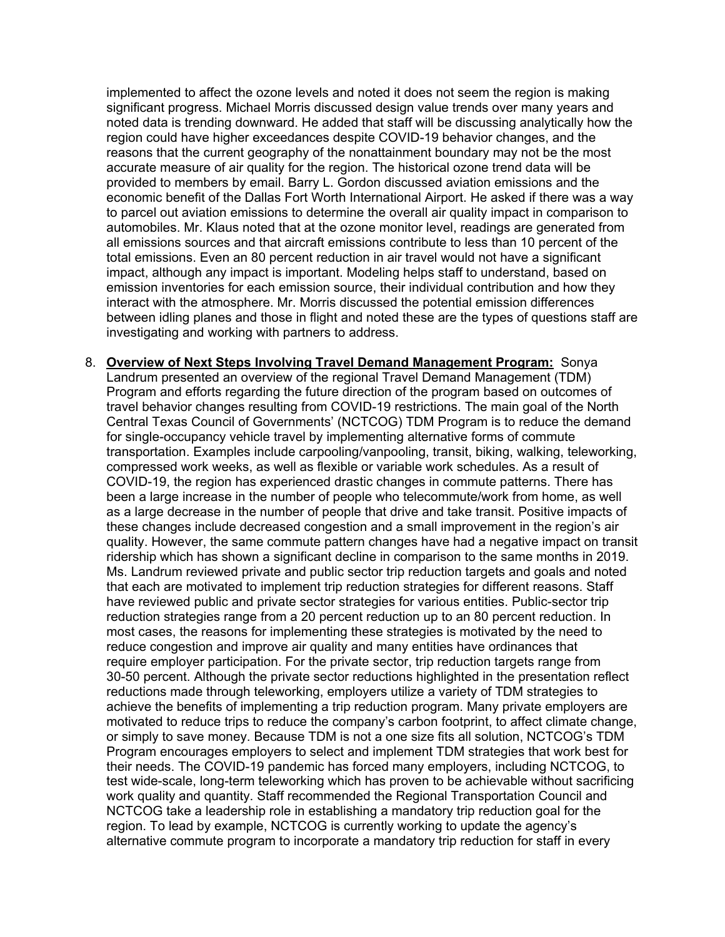implemented to affect the ozone levels and noted it does not seem the region is making significant progress. Michael Morris discussed design value trends over many years and noted data is trending downward. He added that staff will be discussing analytically how the region could have higher exceedances despite COVID-19 behavior changes, and the reasons that the current geography of the nonattainment boundary may not be the most accurate measure of air quality for the region. The historical ozone trend data will be provided to members by email. Barry L. Gordon discussed aviation emissions and the economic benefit of the Dallas Fort Worth International Airport. He asked if there was a way to parcel out aviation emissions to determine the overall air quality impact in comparison to automobiles. Mr. Klaus noted that at the ozone monitor level, readings are generated from all emissions sources and that aircraft emissions contribute to less than 10 percent of the total emissions. Even an 80 percent reduction in air travel would not have a significant impact, although any impact is important. Modeling helps staff to understand, based on emission inventories for each emission source, their individual contribution and how they interact with the atmosphere. Mr. Morris discussed the potential emission differences between idling planes and those in flight and noted these are the types of questions staff are investigating and working with partners to address.

8. **Overview of Next Steps Involving Travel Demand Management Program:** Sonya Landrum presented an overview of the regional Travel Demand Management (TDM) Program and efforts regarding the future direction of the program based on outcomes of travel behavior changes resulting from COVID-19 restrictions. The main goal of the North Central Texas Council of Governments' (NCTCOG) TDM Program is to reduce the demand for single-occupancy vehicle travel by implementing alternative forms of commute transportation. Examples include carpooling/vanpooling, transit, biking, walking, teleworking, compressed work weeks, as well as flexible or variable work schedules. As a result of COVID-19, the region has experienced drastic changes in commute patterns. There has been a large increase in the number of people who telecommute/work from home, as well as a large decrease in the number of people that drive and take transit. Positive impacts of these changes include decreased congestion and a small improvement in the region's air quality. However, the same commute pattern changes have had a negative impact on transit ridership which has shown a significant decline in comparison to the same months in 2019. Ms. Landrum reviewed private and public sector trip reduction targets and goals and noted that each are motivated to implement trip reduction strategies for different reasons. Staff have reviewed public and private sector strategies for various entities. Public-sector trip reduction strategies range from a 20 percent reduction up to an 80 percent reduction. In most cases, the reasons for implementing these strategies is motivated by the need to reduce congestion and improve air quality and many entities have ordinances that require employer participation. For the private sector, trip reduction targets range from 30-50 percent. Although the private sector reductions highlighted in the presentation reflect reductions made through teleworking, employers utilize a variety of TDM strategies to achieve the benefits of implementing a trip reduction program. Many private employers are motivated to reduce trips to reduce the company's carbon footprint, to affect climate change, or simply to save money. Because TDM is not a one size fits all solution, NCTCOG's TDM Program encourages employers to select and implement TDM strategies that work best for their needs. The COVID-19 pandemic has forced many employers, including NCTCOG, to test wide-scale, long-term teleworking which has proven to be achievable without sacrificing work quality and quantity. Staff recommended the Regional Transportation Council and NCTCOG take a leadership role in establishing a mandatory trip reduction goal for the region. To lead by example, NCTCOG is currently working to update the agency's alternative commute program to incorporate a mandatory trip reduction for staff in every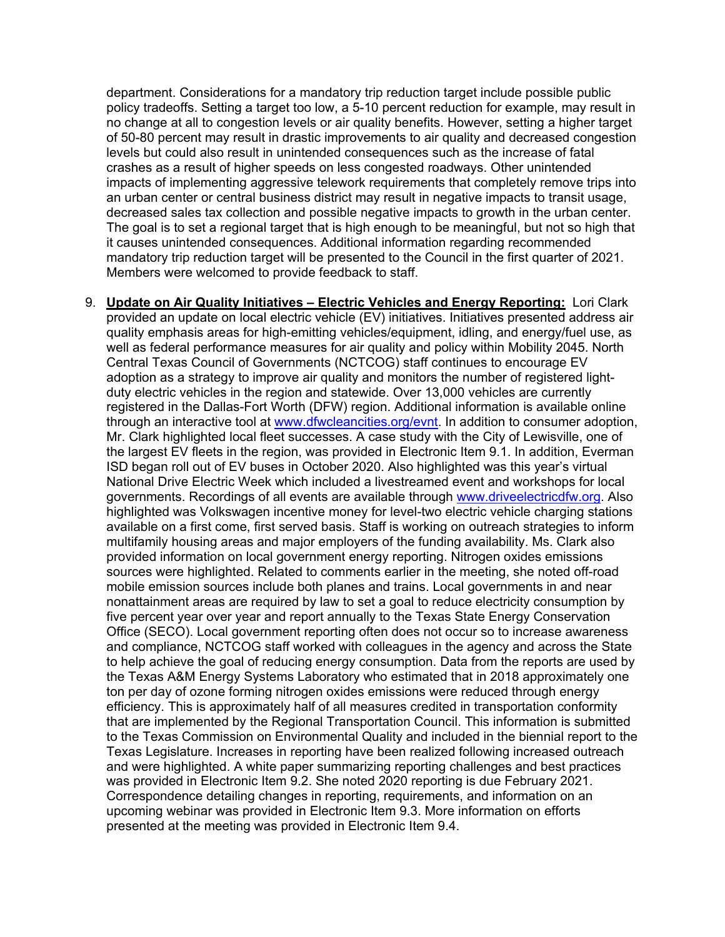department. Considerations for a mandatory trip reduction target include possible public policy tradeoffs. Setting a target too low, a 5-10 percent reduction for example, may result in no change at all to congestion levels or air quality benefits. However, setting a higher target of 50-80 percent may result in drastic improvements to air quality and decreased congestion levels but could also result in unintended consequences such as the increase of fatal crashes as a result of higher speeds on less congested roadways. Other unintended impacts of implementing aggressive telework requirements that completely remove trips into an urban center or central business district may result in negative impacts to transit usage, decreased sales tax collection and possible negative impacts to growth in the urban center. The goal is to set a regional target that is high enough to be meaningful, but not so high that it causes unintended consequences. Additional information regarding recommended mandatory trip reduction target will be presented to the Council in the first quarter of 2021. Members were welcomed to provide feedback to staff.

9. **Update on Air Quality Initiatives – Electric Vehicles and Energy Reporting:** Lori Clark provided an update on local electric vehicle (EV) initiatives. Initiatives presented address air quality emphasis areas for high-emitting vehicles/equipment, idling, and energy/fuel use, as well as federal performance measures for air quality and policy within Mobility 2045. North Central Texas Council of Governments (NCTCOG) staff continues to encourage EV adoption as a strategy to improve air quality and monitors the number of registered lightduty electric vehicles in the region and statewide. Over 13,000 vehicles are currently registered in the Dallas-Fort Worth (DFW) region. Additional information is available online through an interactive tool at [www.dfwcleancities.org/evnt.](http://www.dfwcleancities.org/evnt) In addition to consumer adoption, Mr. Clark highlighted local fleet successes. A case study with the City of Lewisville, one of the largest EV fleets in the region, was provided in Electronic Item 9.1. In addition, Everman ISD began roll out of EV buses in October 2020. Also highlighted was this year's virtual National Drive Electric Week which included a livestreamed event and workshops for local governments. Recordings of all events are available through [www.driveelectricdfw.org.](http://www.driveelectricdfw.org/) Also highlighted was Volkswagen incentive money for level-two electric vehicle charging stations available on a first come, first served basis. Staff is working on outreach strategies to inform multifamily housing areas and major employers of the funding availability. Ms. Clark also provided information on local government energy reporting. Nitrogen oxides emissions sources were highlighted. Related to comments earlier in the meeting, she noted off-road mobile emission sources include both planes and trains. Local governments in and near nonattainment areas are required by law to set a goal to reduce electricity consumption by five percent year over year and report annually to the Texas State Energy Conservation Office (SECO). Local government reporting often does not occur so to increase awareness and compliance, NCTCOG staff worked with colleagues in the agency and across the State to help achieve the goal of reducing energy consumption. Data from the reports are used by the Texas A&M Energy Systems Laboratory who estimated that in 2018 approximately one ton per day of ozone forming nitrogen oxides emissions were reduced through energy efficiency. This is approximately half of all measures credited in transportation conformity that are implemented by the Regional Transportation Council. This information is submitted to the Texas Commission on Environmental Quality and included in the biennial report to the Texas Legislature. Increases in reporting have been realized following increased outreach and were highlighted. A white paper summarizing reporting challenges and best practices was provided in Electronic Item 9.2. She noted 2020 reporting is due February 2021. Correspondence detailing changes in reporting, requirements, and information on an upcoming webinar was provided in Electronic Item 9.3. More information on efforts presented at the meeting was provided in Electronic Item 9.4.